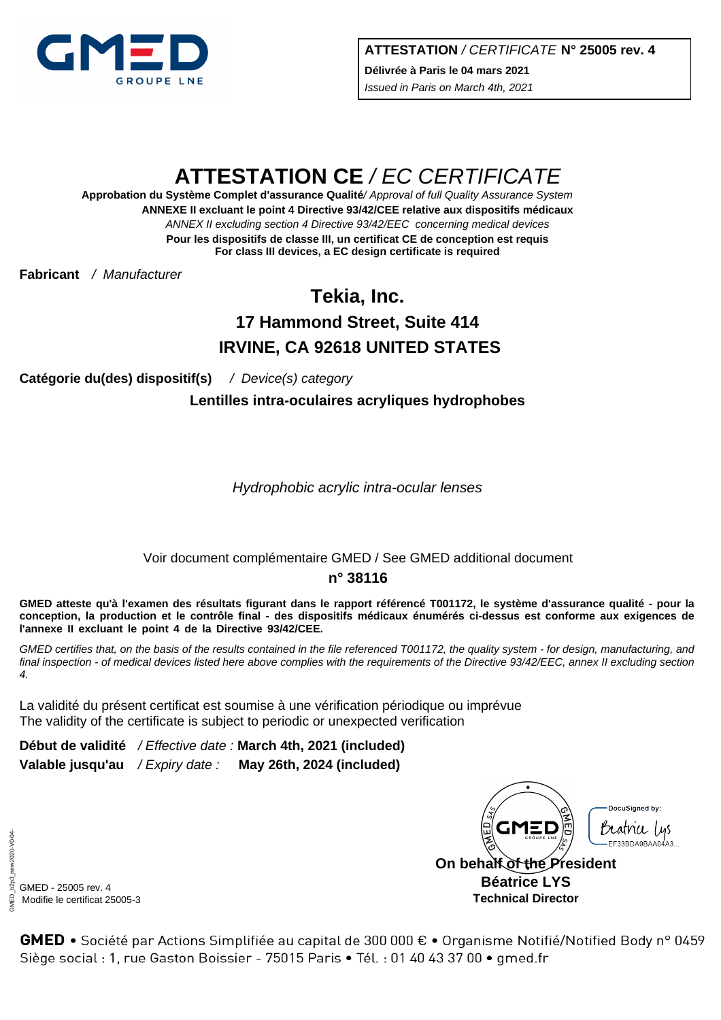

# **ATTESTATION CE** / EC CERTIFICATE

**ANNEXE II excluant le point 4 Directive 93/42/CEE relative aux dispositifs médicaux** ANNEX II excluding section 4 Directive 93/42/EEC concerning medical devices **Approbation du Système Complet d'assurance Qualité**/ Approval of full Quality Assurance System **Pour les dispositifs de classe III, un certificat CE de conception est requis For class III devices, a EC design certificate is required**

**Fabricant** / Manufacturer

## **Tekia, Inc. 17 Hammond Street, Suite 414 IRVINE, CA 92618 UNITED STATES**

**Catégorie du(des) dispositif(s)** / Device(s) category

**Lentilles intra-oculaires acryliques hydrophobes**

Hydrophobic acrylic intra-ocular lenses

#### Voir document complémentaire GMED / See GMED additional document

#### **n° 38116**

**GMED atteste qu'à l'examen des résultats figurant dans le rapport référencé T001172, le système d'assurance qualité - pour la conception, la production et le contrôle final - des dispositifs médicaux énumérés ci-dessus est conforme aux exigences de l'annexe II excluant le point 4 de la Directive 93/42/CEE.**

GMED certifies that, on the basis of the results contained in the file referenced T001172, the quality system - for design, manufacturing, and final inspection - of medical devices listed here above complies with the requirements of the Directive 93/42/EEC, annex II excluding section 4.

La validité du présent certificat est soumise à une vérification périodique ou imprévue The validity of the certificate is subject to periodic or unexpected verification

**Début de validité** / Effective date : **March 4th, 2021 (included) Valable jusqu'au** / Expiry date : **May 26th, 2024 (included)**



GMED\_b2p3\_new2020-V0-04 iMED\_b2p3 GMED - 25005 rev. 4 Modifie le certificat 25005-3

new2020-V0-04

**GMED** • Société par Actions Simplifiée au capital de 300 000  $\epsilon$  • Organisme Notifié/Notified Body n° 0459 Siège social : 1, rue Gaston Boissier - 75015 Paris · Tél. : 01 40 43 37 00 · gmed.fr